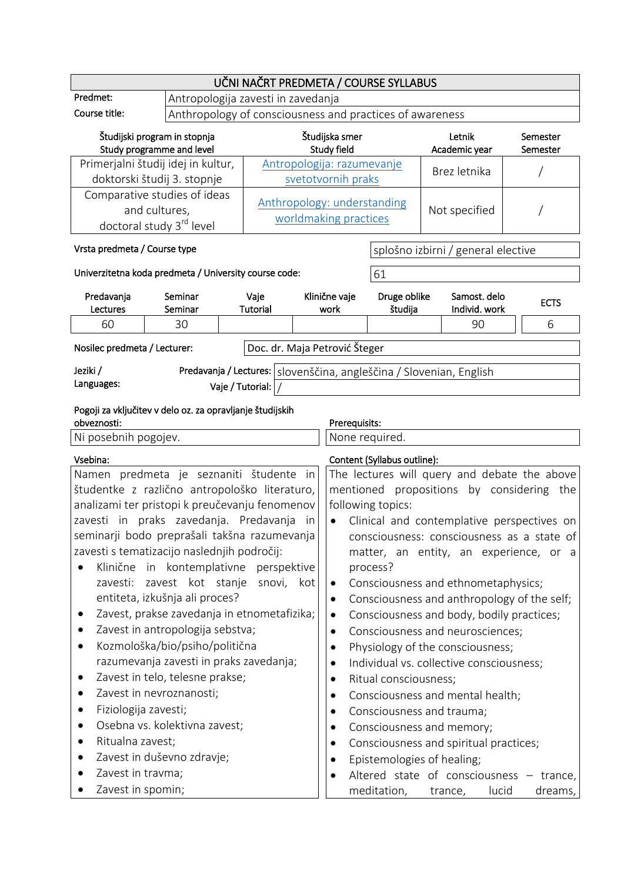| Študijski program in stopnja<br>Study programme and level                                                                                                                                                                                                                                                                                                                                                                                                                                                                                                                                                                                                                                                                                                                                                                                                                                                                                                                                                                                                                                                                                                                                                                                                                                                                                                                                                                                                                                                                                                                                                                                                                                                                                    |                                                                                |                              |                                                       |                                                                                              | Letnik<br>Academic year                                                                                                                                                      | Semester<br>Semester                                                                                                                                                                     |
|----------------------------------------------------------------------------------------------------------------------------------------------------------------------------------------------------------------------------------------------------------------------------------------------------------------------------------------------------------------------------------------------------------------------------------------------------------------------------------------------------------------------------------------------------------------------------------------------------------------------------------------------------------------------------------------------------------------------------------------------------------------------------------------------------------------------------------------------------------------------------------------------------------------------------------------------------------------------------------------------------------------------------------------------------------------------------------------------------------------------------------------------------------------------------------------------------------------------------------------------------------------------------------------------------------------------------------------------------------------------------------------------------------------------------------------------------------------------------------------------------------------------------------------------------------------------------------------------------------------------------------------------------------------------------------------------------------------------------------------------|--------------------------------------------------------------------------------|------------------------------|-------------------------------------------------------|----------------------------------------------------------------------------------------------|------------------------------------------------------------------------------------------------------------------------------------------------------------------------------|------------------------------------------------------------------------------------------------------------------------------------------------------------------------------------------|
| Primerjalni študij idej in kultur,                                                                                                                                                                                                                                                                                                                                                                                                                                                                                                                                                                                                                                                                                                                                                                                                                                                                                                                                                                                                                                                                                                                                                                                                                                                                                                                                                                                                                                                                                                                                                                                                                                                                                                           |                                                                                |                              |                                                       |                                                                                              | Brez letnika                                                                                                                                                                 |                                                                                                                                                                                          |
| Comparative studies of ideas<br>and cultures,                                                                                                                                                                                                                                                                                                                                                                                                                                                                                                                                                                                                                                                                                                                                                                                                                                                                                                                                                                                                                                                                                                                                                                                                                                                                                                                                                                                                                                                                                                                                                                                                                                                                                                |                                                                                |                              |                                                       |                                                                                              | Not specified                                                                                                                                                                |                                                                                                                                                                                          |
| Vrsta predmeta / Course type                                                                                                                                                                                                                                                                                                                                                                                                                                                                                                                                                                                                                                                                                                                                                                                                                                                                                                                                                                                                                                                                                                                                                                                                                                                                                                                                                                                                                                                                                                                                                                                                                                                                                                                 |                                                                                |                              |                                                       |                                                                                              |                                                                                                                                                                              |                                                                                                                                                                                          |
| Seminar                                                                                                                                                                                                                                                                                                                                                                                                                                                                                                                                                                                                                                                                                                                                                                                                                                                                                                                                                                                                                                                                                                                                                                                                                                                                                                                                                                                                                                                                                                                                                                                                                                                                                                                                      | Vaje                                                                           |                              |                                                       |                                                                                              |                                                                                                                                                                              | <b>ECTS</b>                                                                                                                                                                              |
| 30                                                                                                                                                                                                                                                                                                                                                                                                                                                                                                                                                                                                                                                                                                                                                                                                                                                                                                                                                                                                                                                                                                                                                                                                                                                                                                                                                                                                                                                                                                                                                                                                                                                                                                                                           |                                                                                |                              |                                                       |                                                                                              | 90                                                                                                                                                                           | 6                                                                                                                                                                                        |
| Nosilec predmeta / Lecturer:                                                                                                                                                                                                                                                                                                                                                                                                                                                                                                                                                                                                                                                                                                                                                                                                                                                                                                                                                                                                                                                                                                                                                                                                                                                                                                                                                                                                                                                                                                                                                                                                                                                                                                                 |                                                                                |                              |                                                       |                                                                                              |                                                                                                                                                                              |                                                                                                                                                                                          |
| Predavanja / Lectures:   slovenščina, angleščina / Slovenian, English<br>Jeziki /<br>Languages:                                                                                                                                                                                                                                                                                                                                                                                                                                                                                                                                                                                                                                                                                                                                                                                                                                                                                                                                                                                                                                                                                                                                                                                                                                                                                                                                                                                                                                                                                                                                                                                                                                              |                                                                                |                              |                                                       |                                                                                              |                                                                                                                                                                              |                                                                                                                                                                                          |
| Pogoji za vključitev v delo oz. za opravljanje študijskih<br>obveznosti:<br>Prerequisits:<br>Ni posebnih pogojev.                                                                                                                                                                                                                                                                                                                                                                                                                                                                                                                                                                                                                                                                                                                                                                                                                                                                                                                                                                                                                                                                                                                                                                                                                                                                                                                                                                                                                                                                                                                                                                                                                            |                                                                                |                              |                                                       |                                                                                              |                                                                                                                                                                              |                                                                                                                                                                                          |
|                                                                                                                                                                                                                                                                                                                                                                                                                                                                                                                                                                                                                                                                                                                                                                                                                                                                                                                                                                                                                                                                                                                                                                                                                                                                                                                                                                                                                                                                                                                                                                                                                                                                                                                                              |                                                                                |                              |                                                       |                                                                                              |                                                                                                                                                                              |                                                                                                                                                                                          |
| Vsebina:<br>Content (Syllabus outline):<br>Namen predmeta je seznaniti študente in<br>The lectures will query and debate the above<br>študentke z različno antropološko literaturo,<br>mentioned propositions by considering the<br>analizami ter pristopi k preučevanju fenomenov<br>following topics:<br>zavesti in praks zavedanja. Predavanja in<br>Clinical and contemplative perspectives on<br>$\bullet$<br>seminarji bodo preprašali takšna razumevanja<br>consciousness: consciousness as a state of<br>zavesti s tematizacijo naslednjih področij:<br>matter, an entity, an experience, or a<br>Klinične in kontemplativne perspektive<br>process?<br>zavest kot stanje snovi,<br>zavesti:<br>kot<br>Consciousness and ethnometaphysics;<br>$\bullet$<br>entiteta, izkušnja ali proces?<br>Consciousness and anthropology of the self;<br>$\bullet$<br>Zavest, prakse zavedanja in etnometafizika;<br>Consciousness and body, bodily practices;<br>$\bullet$<br>Zavest in antropologija sebstva;<br>Consciousness and neurosciences;<br>٠<br>Kozmološka/bio/psiho/politična<br>Physiology of the consciousness;<br>٠<br>٠<br>razumevanja zavesti in praks zavedanja;<br>Individual vs. collective consciousness;<br>$\bullet$<br>Zavest in telo, telesne prakse;<br>Ritual consciousness;<br>٠<br>Zavest in nevroznanosti;<br>Consciousness and mental health;<br>$\bullet$<br>Fiziologija zavesti;<br>Consciousness and trauma;<br>Osebna vs. kolektivna zavest;<br>$\bullet$<br>Consciousness and memory;<br>$\bullet$<br>Ritualna zavest;<br>Consciousness and spiritual practices;<br>٠<br>Zavest in duševno zdravje;<br>Epistemologies of healing;<br>٠<br>Zavest in travma;<br>Altered state of consciousness - trance,<br>٠ |                                                                                |                              |                                                       |                                                                                              |                                                                                                                                                                              |                                                                                                                                                                                          |
|                                                                                                                                                                                                                                                                                                                                                                                                                                                                                                                                                                                                                                                                                                                                                                                                                                                                                                                                                                                                                                                                                                                                                                                                                                                                                                                                                                                                                                                                                                                                                                                                                                                                                                                                              | doktorski študij 3. stopnje<br>doctoral study 3 <sup>rd</sup> level<br>Seminar | Tutorial<br>Vaje / Tutorial: | Univerzitetna koda predmeta / University course code: | Antropologija zavesti in zavedanja<br>Študijska smer<br>Study field<br>Klinične vaje<br>work | Antropologija: razumevanje<br>svetotvornih praks<br>Anthropology: understanding<br>worldmaking practices<br>61<br>študija<br>Doc. dr. Maja Petrović Šteger<br>None required. | UČNI NAČRT PREDMETA / COURSE SYLLABUS<br>Anthropology of consciousness and practices of awareness<br>splošno izbirni / general elective<br>Druge oblike<br>Samost, delo<br>Individ. work |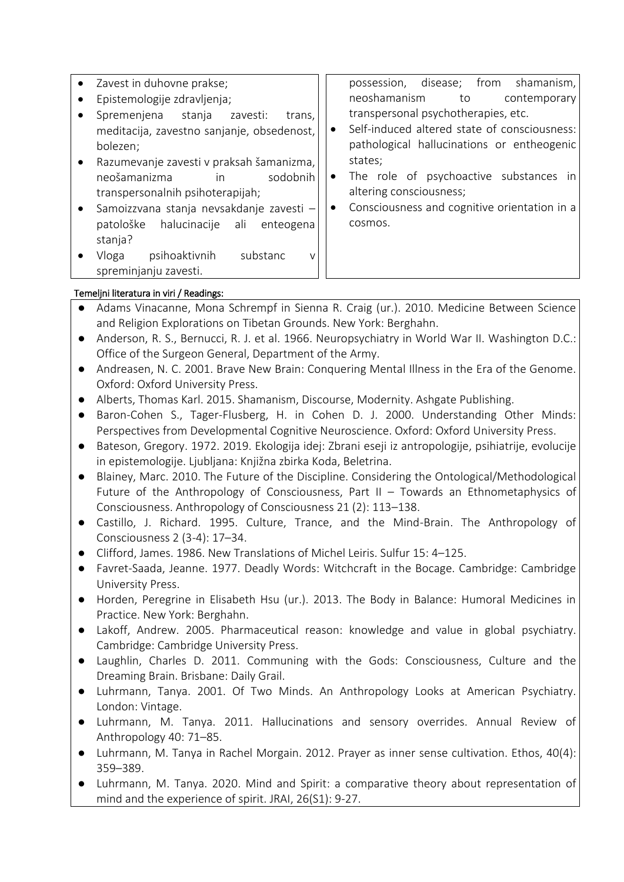- Zavest in duhovne prakse;
- Epistemologije zdravljenja;
- Spremenjena stanja zavesti: trans, meditacija, zavestno sanjanje, obsedenost, bolezen;
- Razumevanje zavesti v praksah šamanizma, neošamanizma in sodobnih transpersonalnih psihoterapijah;
- Samoizzvana stanja nevsakdanje zavesti patološke halucinacije ali enteogena stanja?
- Vloga psihoaktivnih substanc v spreminjanju zavesti.

possession, disease; from shamanism, neoshamanism to contemporary transpersonal psychotherapies, etc.

- Self-induced altered state of consciousness: pathological hallucinations or entheogenic states;
- The role of psychoactive substances in altering consciousness;
- Consciousness and cognitive orientation in a cosmos.

# Temeljni literatura in viri / Readings:

- Adams Vinacanne, Mona Schrempf in Sienna R. Craig (ur.). 2010. Medicine Between Science and Religion Explorations on Tibetan Grounds. New York: Berghahn.
- Anderson, R. S., Bernucci, R. J. et al. 1966. Neuropsychiatry in World War II. Washington D.C.: Office of the Surgeon General, Department of the Army.
- Andreasen, N. C. 2001. Brave New Brain: Conquering Mental Illness in the Era of the Genome. Oxford: Oxford University Press.
- Alberts, Thomas Karl. 2015. Shamanism, Discourse, Modernity. Ashgate Publishing.
- Baron-Cohen S., Tager-Flusberg, H. in Cohen D. J. 2000. Understanding Other Minds: Perspectives from Developmental Cognitive Neuroscience. Oxford: Oxford University Press.
- Bateson, Gregory. 1972. 2019. Ekologija idej: Zbrani eseji iz antropologije, psihiatrije, evolucije in epistemologije. Ljubljana: Knjižna zbirka Koda, Beletrina.
- Blainey, Marc. 2010. The Future of the Discipline. Considering the Ontological/Methodological Future of the Anthropology of Consciousness, Part II – Towards an Ethnometaphysics of Consciousness. Anthropology of Consciousness 21 (2): 113–138.
- Castillo, J. Richard. 1995. Culture, Trance, and the Mind-Brain. The Anthropology of Consciousness 2 (3-4): 17–34.
- Clifford, James. 1986. New Translations of Michel Leiris. Sulfur 15: 4–125.
- Favret-Saada, Jeanne. 1977. Deadly Words: Witchcraft in the Bocage. Cambridge: Cambridge University Press.
- Horden, Peregrine in Elisabeth Hsu (ur.). 2013. The Body in Balance: Humoral Medicines in Practice. New York: Berghahn.
- Lakoff, Andrew. 2005. Pharmaceutical reason: knowledge and value in global psychiatry. Cambridge: Cambridge University Press.
- Laughlin, Charles D. 2011. Communing with the Gods: Consciousness, Culture and the Dreaming Brain. Brisbane: Daily Grail.
- Luhrmann, Tanya. 2001. Of Two Minds. An Anthropology Looks at American Psychiatry. London: Vintage.
- Luhrmann, M. Tanya. 2011. Hallucinations and sensory overrides. Annual Review of Anthropology 40: 71–85.
- Luhrmann, M. Tanya in Rachel Morgain. 2012. Prayer as inner sense cultivation. Ethos, 40(4): 359–389.
- Luhrmann, M. Tanya. 2020. Mind and Spirit: a comparative theory about representation of mind and the experience of spirit. JRAI, 26(S1): 9-27.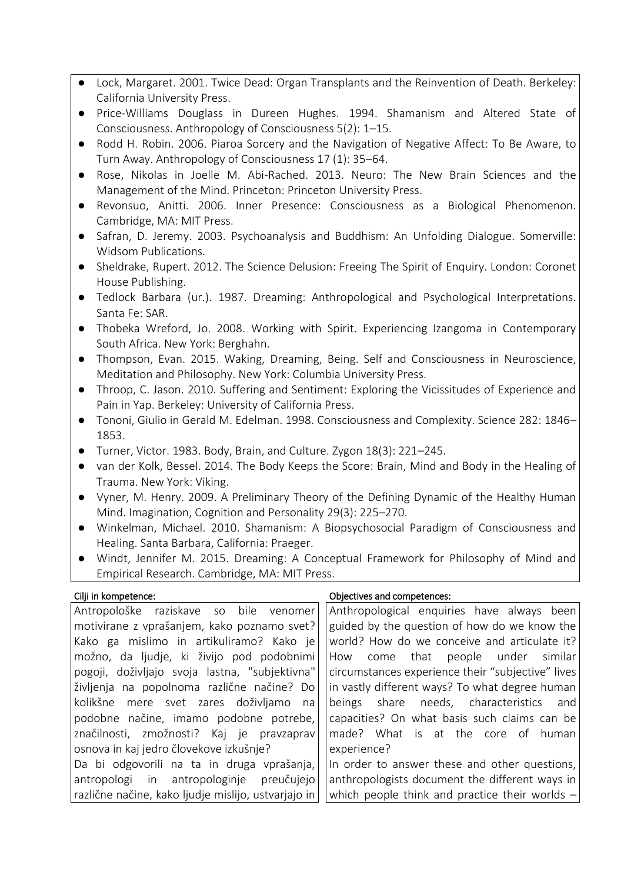- Lock, Margaret. 2001. Twice Dead: Organ Transplants and the Reinvention of Death. Berkeley: California University Press.
- Price-Williams Douglass in Dureen Hughes. 1994. Shamanism and Altered State of Consciousness. Anthropology of Consciousness 5(2): 1–15.
- Rodd H. Robin. 2006. Piaroa Sorcery and the Navigation of Negative Affect: To Be Aware, to Turn Away. Anthropology of Consciousness 17 (1): 35–64.
- Rose, Nikolas in Joelle M. Abi-Rached. 2013. Neuro: The New Brain Sciences and the Management of the Mind. Princeton: Princeton University Press.
- Revonsuo, Anitti. 2006. Inner Presence: Consciousness as a Biological Phenomenon. Cambridge, MA: MIT Press.
- Safran, D. Jeremy. 2003. Psychoanalysis and Buddhism: An Unfolding Dialogue. Somerville: Widsom Publications.
- Sheldrake, Rupert. 2012. The Science Delusion: Freeing The Spirit of Enquiry. London: Coronet House Publishing.
- Tedlock Barbara (ur.). 1987. Dreaming: Anthropological and Psychological Interpretations. Santa Fe: SAR.
- Thobeka Wreford, Jo. 2008. Working with Spirit. Experiencing Izangoma in Contemporary South Africa. New York: Berghahn.
- Thompson, Evan. 2015. Waking, Dreaming, Being. Self and Consciousness in Neuroscience, Meditation and Philosophy. New York: Columbia University Press.
- Throop, C. Jason. 2010. Suffering and Sentiment: Exploring the Vicissitudes of Experience and Pain in Yap. Berkeley: University of California Press.
- Tononi, Giulio in Gerald M. Edelman. 1998. Consciousness and Complexity. Science 282: 1846– 1853.
- Turner, Victor. 1983. Body, Brain, and Culture. Zygon 18(3): 221–245.
- van der Kolk, Bessel. 2014. The Body Keeps the Score: Brain, Mind and Body in the Healing of Trauma. New York: Viking.
- Vyner, M. Henry. 2009. A Preliminary Theory of the Defining Dynamic of the Healthy Human Mind. Imagination, Cognition and Personality 29(3): 225–270.
- Winkelman, Michael. 2010. Shamanism: A Biopsychosocial Paradigm of Consciousness and Healing. Santa Barbara, California: Praeger.
- Windt, Jennifer M. 2015. Dreaming: A Conceptual Framework for Philosophy of Mind and Empirical Research. Cambridge, MA: MIT Press.

## Cilji in kompetence: Objectives and competences:

| Antropološke raziskave so bile venomer<br>Anthropological enquiries have always been                    |  |
|---------------------------------------------------------------------------------------------------------|--|
| guided by the question of how do we know the<br>motivirane z vprašanjem, kako poznamo svet?             |  |
| world? How do we conceive and articulate it?<br>Kako ga mislimo in artikuliramo? Kako je                |  |
| možno, da ljudje, ki živijo pod podobnimi<br>How come that people under similar                         |  |
| circumstances experience their "subjective" lives<br>pogoji, doživljajo svoja lastna, "subjektivna"     |  |
| in vastly different ways? To what degree human<br>življenja na popolnoma različne načine? Do            |  |
| kolikšne mere svet zares doživljamo na<br>beings share needs, characteristics and                       |  |
| capacities? On what basis such claims can be<br>podobne načine, imamo podobne potrebe,                  |  |
| značilnosti, zmožnosti? Kaj je pravzaprav<br>made? What is at the core of human                         |  |
| osnova in kaj jedro človekove izkušnje?<br>experience?                                                  |  |
| Da bi odgovorili na ta in druga vprašanja,<br>In order to answer these and other questions,             |  |
| anthropologists document the different ways in<br>antropologi in antropologinje preučujejo              |  |
| which people think and practice their worlds $-$<br>različne načine, kako ljudje mislijo, ustvarjajo in |  |
|                                                                                                         |  |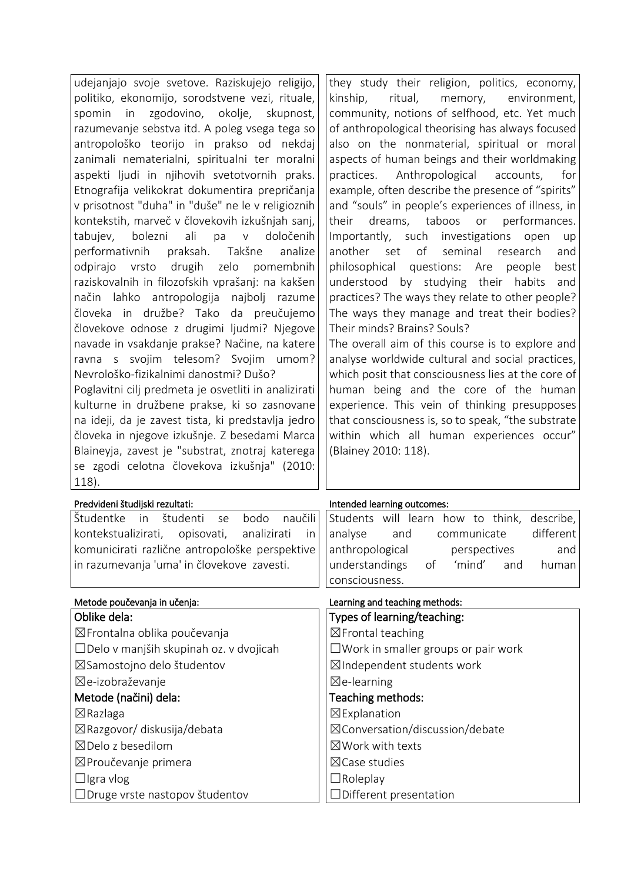| udejanjajo svoje svetove. Raziskujejo religijo,        | they study their religion, politics, economy,      |
|--------------------------------------------------------|----------------------------------------------------|
| politiko, ekonomijo, sorodstvene vezi, rituale,        | kinship,<br>ritual,<br>memory,<br>environment,     |
| zgodovino, okolje,<br>skupnost,<br>spomin in           | community, notions of selfhood, etc. Yet much      |
| razumevanje sebstva itd. A poleg vsega tega so         | of anthropological theorising has always focused   |
| antropološko teorijo in prakso od nekdaj               | also on the nonmaterial, spiritual or moral        |
| zanimali nematerialni, spiritualni ter moralni         | aspects of human beings and their worldmaking      |
| aspekti ljudi in njihovih svetotvornih praks.          | practices. Anthropological accounts,<br>for        |
| Etnografija velikokrat dokumentira prepričanja         | example, often describe the presence of "spirits"  |
| v prisotnost "duha" in "duše" ne le v religioznih      | and "souls" in people's experiences of illness, in |
| kontekstih, marveč v človekovih izkušnjah sanj,        | dreams, taboos or<br>performances.<br>their        |
| ali<br>pa<br>določenih<br>bolezni<br>V<br>tabujev,     | Importantly, such investigations<br>open<br>up     |
| praksah. Takšne<br>performativnih<br>analize           | of<br>seminal<br>another<br>set<br>research<br>and |
| drugih<br>pomembnih<br>odpirajo<br>vrsto<br>zelo       | philosophical questions: Are<br>people<br>best     |
| raziskovalnih in filozofskih vprašanj: na kakšen       | understood by studying their habits<br>and         |
| način lahko antropologija<br>najbolj<br>razume         | practices? The ways they relate to other people?   |
| človeka in družbe? Tako da preučujemo                  | The ways they manage and treat their bodies?       |
| človekove odnose z drugimi ljudmi? Njegove             | Their minds? Brains? Souls?                        |
| navade in vsakdanje prakse? Načine, na katere          | The overall aim of this course is to explore and   |
| ravna s svojim telesom? Svojim umom?                   | analyse worldwide cultural and social practices,   |
| Nevrološko-fizikalnimi danostmi? Dušo?                 | which posit that consciousness lies at the core of |
| Poglavitni cilj predmeta je osvetliti in analizirati   | human being and the core of the human              |
| kulturne in družbene prakse, ki so zasnovane           | experience. This vein of thinking presupposes      |
| na ideji, da je zavest tista, ki predstavlja jedro     | that consciousness is, so to speak, "the substrate |
| človeka in njegove izkušnje. Z besedami Marca          | within which all human experiences occur"          |
| Blaineyja, zavest je "substrat, znotraj katerega       | (Blainey 2010: 118).                               |
| se zgodi celotna človekova izkušnja" (2010:            |                                                    |
| 118).                                                  |                                                    |
| Predvideni študijski rezultati:                        | Intended learning outcomes:                        |
| naučili<br>Študentke<br>študenti<br>bodo<br>in<br>se   | Students will learn how to think,<br>describe,     |
| kontekstualizirati,<br>opisovati,<br>analizirati<br>in | different<br>analyse<br>and<br>communicate         |
| komunicirati različne antropološke perspektive         | anthropological<br>perspectives<br>and             |
| in razumevanja 'uma' in človekove zavesti.             | understandings<br>'mind'<br>of<br>and<br>human     |
|                                                        | consciousness.                                     |
| Metode poučevanja in učenja:                           | Learning and teaching methods:                     |
| Oblike dela:                                           | Types of learning/teaching:                        |
| ⊠Frontalna oblika poučevanja                           | ⊠Frontal teaching                                  |
| □Delo v manjših skupinah oz. v dvojicah                | $\square$ Work in smaller groups or pair work      |
| ⊠Samostojno delo študentov                             | ⊠Independent students work                         |
| ⊠e-izobraževanje                                       |                                                    |
| Metode (načini) dela:                                  | $\boxtimes$ e-learning                             |
|                                                        | Teaching methods:                                  |
| $\boxtimes$ Razlaga                                    | ⊠Explanation                                       |
| ⊠Razgovor/ diskusija/debata                            | ⊠Conversation/discussion/debate                    |
| $\boxtimes$ Delo z besedilom                           | $\boxtimes$ Work with texts                        |
| ⊠Proučevanje primera                                   | ⊠Case studies                                      |
| $\Box$ Igra vlog                                       | $\Box$ Roleplay                                    |
| □Druge vrste nastopov študentov                        | $\Box$ Different presentation                      |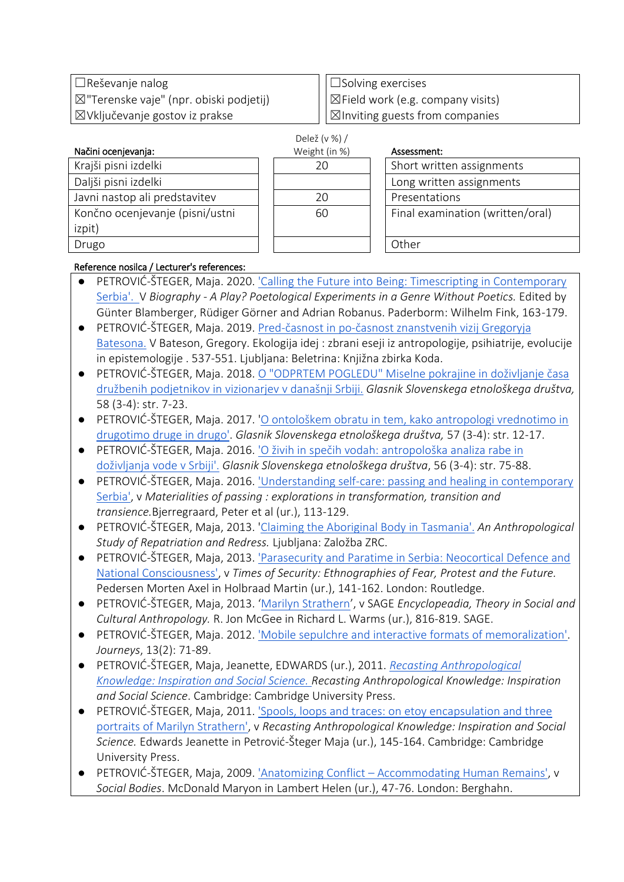☐Reševanje nalog ☒"Terenske vaje" (npr. obiski podjetij) ☒Vključevanje gostov iz prakse

☐Solving exercises ☒Field work (e.g. company visits)  $\boxtimes$ Inviting guests from companies

| Načini ocenjevanja:             | Weight (in %) | Assessment:                |
|---------------------------------|---------------|----------------------------|
| Krajši pisni izdelki            | 20            | Short written assignments  |
| Daljši pisni izdelki            |               | Long written assignments   |
| Javni nastop ali predstavitev   | 20            | Presentations              |
| Končno ocenjevanje (pisni/ustni | 60            | Final examination (written |
| izpit)                          |               |                            |
| Drugo                           |               | Other                      |

| Delež (v %) / |
|---------------|
| Weight (in %) |
| 20            |
|               |
| 20            |
| 60            |
|               |
|               |

| Assess |
|--------|
|        |

| ht (in %) | Assessment:                      |
|-----------|----------------------------------|
| 20        | Short written assignments        |
|           | Long written assignments         |
| 20        | Presentations                    |
| 60        | Final examination (written/oral) |
|           |                                  |

# Reference nosilca / Lecturer's references:

- PETROVIĆ-ŠTEGER, Maja[.](https://iaps.zrc-sazu.si/sites/default/files/petrovic-steger_calling_the_future_into_being.pdf) 2020. 'Calling the Future into Being: Timescripting in Contemporary [Serbia'.](https://iaps.zrc-sazu.si/sites/default/files/petrovic-steger_calling_the_future_into_being.pdf) V *Biography - A Play? Poetological Experiments in a Genre Without Poetics.* Edited by Günter Blamberger, Rüdiger Görner and Adrian Robanus. Paderborm: Wilhelm Fink, 163-179.
- PETROVIĆ-ŠTEGER, Maja[.](https://iaps.zrc-sazu.si/sites/default/files/petrovic-steger_spremna_studija_k_batesonu_2019.pdf) 2019. Pred-časnost in po-časnost znanstvenih vizij Gregoryja [Batesona.](https://iaps.zrc-sazu.si/sites/default/files/petrovic-steger_spremna_studija_k_batesonu_2019.pdf) V Bateson, Gregory. Ekologija idej : zbrani eseji iz antropologije, psihiatrije, evolucije in epistemologije . 537-551. Ljubljana: Beletrina: Knjižna zbirka Koda.
- PETROVIĆ-ŠTEGER, Maja. 2018[.](https://iaps.zrc-sazu.si/sites/default/files/petrovic-steger_o_odprtem_pogledu.pdf) [O "ODPRTEM POGLEDU" Miselne pokrajine in doživljanje časa](https://iaps.zrc-sazu.si/sites/default/files/petrovic-steger_o_odprtem_pogledu.pdf)  [družbenih podjetnikov in vizionarjev v današnji Srbiji.](https://iaps.zrc-sazu.si/sites/default/files/petrovic-steger_o_odprtem_pogledu.pdf) *Glasnik Slovenskega etnološkega društva,*  58 (3-4): str. 7-23.
- PETROVIĆ-ŠTEGER, Maja. 2017. '[O ontološkem obratu in tem, kako antropologi vrednotimo in](https://iaps.zrc-sazu.si/sites/default/files/petrovic-steger_o_ontoloskem_obratu.pdf)  [drugotimo druge in drugo'.](https://iaps.zrc-sazu.si/sites/default/files/petrovic-steger_o_ontoloskem_obratu.pdf) *Glasnik Slovenskega etnološkega društva,* 57 (3-4): str. 12-17.
- PETROVIĆ-ŠTEGER, Maja[.](https://iaps.zrc-sazu.si/sites/default/files/petrovic-steger_o_zivih_in_specih_vodah_2016.pdf) 2016. <sup>1</sup>O živih in spečih vodah: antropološka analiza rabe in [doživljanja vode v Srbiji'.](https://iaps.zrc-sazu.si/sites/default/files/petrovic-steger_o_zivih_in_specih_vodah_2016.pdf) *Glasnik Slovenskega etnološkega društva*, 56 (3-4): str. 75-88.
- PETROVIĆ-ŠTEGER, Maja[.](https://iaps.zrc-sazu.si/sites/default/files/petrovic-steger_understanding_self-care_2016.pdf) 2016. 'Understanding self-care: passing and healing in contemporary [Serbia',](https://iaps.zrc-sazu.si/sites/default/files/petrovic-steger_understanding_self-care_2016.pdf) v *Materialities of passing : explorations in transformation, transition and transience.*Bjerregraard, Peter et al (ur.), 113-129.
- PETROVIĆ-ŠTEGER, Maja, 2013. '[Claiming the Aboriginal Body in Tasmania'.](https://iaps.zrc-sazu.si/sites/default/files/petrovic-steger_tasmania_book_2013.pdf) *An Anthropological Study of Repatriation and Redress.* Ljubljana: Založba ZRC.
- PETROVIĆ-ŠTEGER, Maja, 2013[.](https://iaps.zrc-sazu.si/sites/default/files/petrovic-steger_parasecurity_and_paratime_2013.pdf) ['Parasecurity and Paratime in Serbia: Neocortical Defence and](https://iaps.zrc-sazu.si/sites/default/files/petrovic-steger_parasecurity_and_paratime_2013.pdf)  [National Consciousness',](https://iaps.zrc-sazu.si/sites/default/files/petrovic-steger_parasecurity_and_paratime_2013.pdf) v *Times of Security: Ethnographies of Fear, Protest and the Future.* Pedersen Morten Axel in Holbraad Martin (ur.), 141-162. London: Routledge.
- PETROVIĆ-ŠTEGER, Maja, 2013. '[Marilyn Strathern](https://iaps.zrc-sazu.si/sites/default/files/petrovic-steger_theory_in_social_2013.pdf)', v SAGE *Encyclopeadia, Theory in Social and Cultural Anthropology.* R. Jon McGee in Richard L. Warms (ur.), 816-819. SAGE.
- PETROVIĆ-ŠTEGER, Maja. 2012. ['Mobile sepulchre and interactive formats of memoralization'.](https://iaps.zrc-sazu.si/sites/default/files/petrovic-steger_mobile_sepulchre_2012.pdf) *Journeys*, 13(2): 71-89.
- PETROVIĆ-ŠTEGER, Maja, Jeanette, EDWARDS (ur.), 2011. *[Recasting Anthropological](https://iaps.zrc-sazu.si/sites/default/files/petrovic-steger_recasting_anthropological_2011.pdf)  [Knowledge: Inspiration and Social Science.](https://iaps.zrc-sazu.si/sites/default/files/petrovic-steger_recasting_anthropological_2011.pdf) Recasting Anthropological Knowledge: Inspiration and Social Science*. Cambridge: Cambridge University Press.
- PETROVIĆ-ŠTEGER, Maja, 2011[.](https://iaps.zrc-sazu.si/sites/default/files/petrovic-steger_spools_loops_and_traces_2011.pdf) 'Spools, loops and traces: on etoy encapsulation and three [portraits of Marilyn Strathern',](https://iaps.zrc-sazu.si/sites/default/files/petrovic-steger_spools_loops_and_traces_2011.pdf) v *Recasting Anthropological Knowledge: Inspiration and Social Science.* Edwards Jeanette in Petrović-Šteger Maja (ur.), 145-164. Cambridge: Cambridge University Press.
- PETROVIĆ-ŠTEGER, Maja, 2009[.](https://iaps.zrc-sazu.si/sites/default/files/petrovic-steger_anatomizing_conflict_2009.pdf) 'Anatomizing Conflict [Accommodating Human Remains',](https://iaps.zrc-sazu.si/sites/default/files/petrovic-steger_anatomizing_conflict_2009.pdf) v *Social Bodies*. McDonald Maryon in Lambert Helen (ur.), 47-76. London: Berghahn.